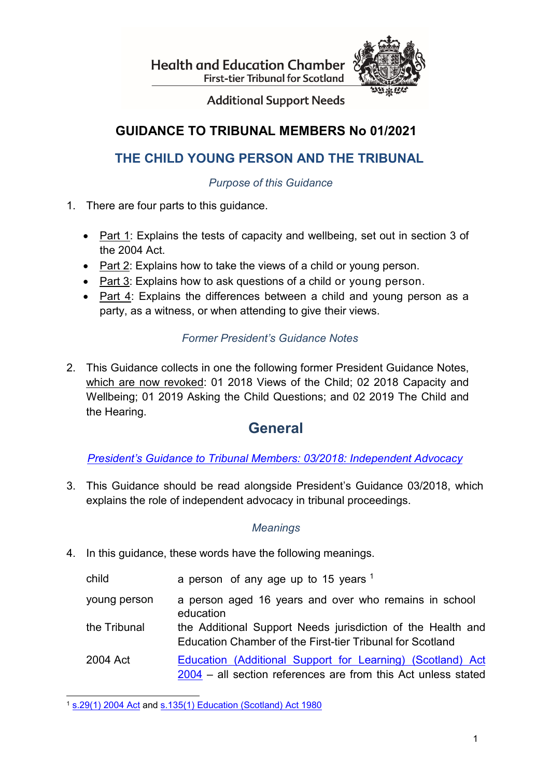**Health and Education Chamber First-tier Tribunal for Scotland** 



**Additional Support Needs** 

## **GUIDANCE TO TRIBUNAL MEMBERS No 01/2021**

## **THE CHILD YOUNG PERSON AND THE TRIBUNAL**

*Purpose of this Guidance*

- 1. There are four parts to this guidance.
	- Part 1: Explains the tests of capacity and wellbeing, set out in section 3 of the 2004 Act.
	- Part 2: Explains how to take the views of a child or young person.
	- Part 3: Explains how to ask questions of a child or young person.
	- Part 4: Explains the differences between a child and young person as a party, as a witness, or when attending to give their views.

### *Former President's Guidance Notes*

2. This Guidance collects in one the following former President Guidance Notes, which are now revoked: 01 2018 Views of the Child; 02 2018 Capacity and Wellbeing; 01 2019 Asking the Child Questions; and 02 2019 The Child and the Hearing.

## **General**

*[President's Guidance to Tribunal Members: 03/2018: Independent Advocacy](https://www.healthandeducationchamber.scot/sites/default/files/publications/42/PGN%2003%202018%20Independent%20advocacy_0.pdf)*

3. This Guidance should be read alongside President's Guidance 03/2018, which explains the role of independent advocacy in tribunal proceedings.

### *Meanings*

4. In this guidance, these words have the following meanings.

child **a** person of any age up to 15 years  $1$ 

- young person a person aged 16 years and over who remains in school education
- the Tribunal the Additional Support Needs jurisdiction of the Health and Education Chamber of the First-tier Tribunal for Scotland
- 2004 Act Education [\(Additional](https://www.legislation.gov.uk/asp/2004/4/contents) Support for Learning) (Scotland) Act [2004](https://www.legislation.gov.uk/asp/2004/4/contents) – all section references are from this Act unless stated

<span id="page-0-0"></span> <sup>1</sup> [s.29\(1\) 2004 Act](https://www.legislation.gov.uk/asp/2004/4/section/29) and [s.135\(1\) Education \(Scotland\) Act 1980](https://www.legislation.gov.uk/ukpga/1980/44/section/135)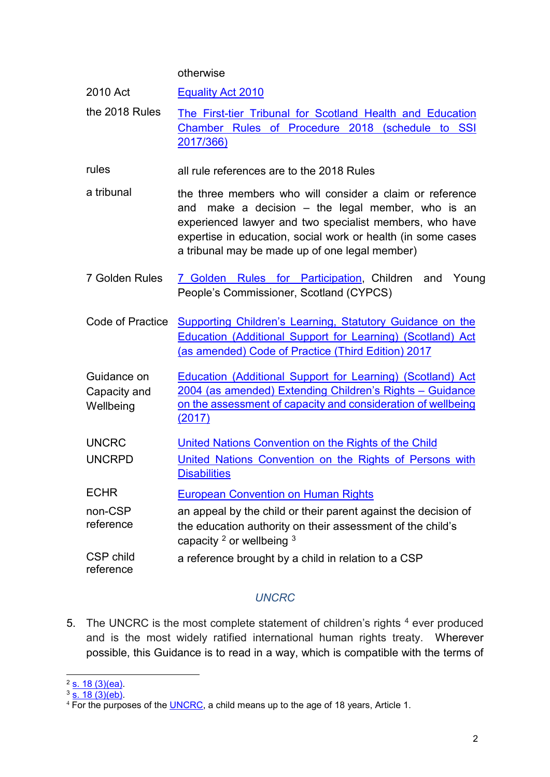#### otherwise

| 2010 Act                                 | <b>Equality Act 2010</b>                                                                                                                                                                                                                                                                        |  |
|------------------------------------------|-------------------------------------------------------------------------------------------------------------------------------------------------------------------------------------------------------------------------------------------------------------------------------------------------|--|
| the 2018 Rules                           | The First-tier Tribunal for Scotland Health and Education<br>Chamber Rules of Procedure 2018 (schedule to SSI<br>2017/366)                                                                                                                                                                      |  |
| rules                                    | all rule references are to the 2018 Rules                                                                                                                                                                                                                                                       |  |
| a tribunal                               | the three members who will consider a claim or reference<br>make a decision $-$ the legal member, who is an<br>and<br>experienced lawyer and two specialist members, who have<br>expertise in education, social work or health (in some cases<br>a tribunal may be made up of one legal member) |  |
| 7 Golden Rules                           | 7 Golden Rules for Participation, Children and<br>Young<br>People's Commissioner, Scotland (CYPCS)                                                                                                                                                                                              |  |
| Code of Practice                         | <b>Supporting Children's Learning, Statutory Guidance on the</b><br><b>Education (Additional Support for Learning) (Scotland) Act</b><br>(as amended) Code of Practice (Third Edition) 2017                                                                                                     |  |
| Guidance on<br>Capacity and<br>Wellbeing | Education (Additional Support for Learning) (Scotland) Act<br>2004 (as amended) Extending Children's Rights - Guidance<br>on the assessment of capacity and consideration of wellbeing<br>(2017)                                                                                                |  |
| <b>UNCRC</b>                             | United Nations Convention on the Rights of the Child                                                                                                                                                                                                                                            |  |
| <b>UNCRPD</b>                            | United Nations Convention on the Rights of Persons with<br><b>Disabilities</b>                                                                                                                                                                                                                  |  |
| <b>ECHR</b>                              | <b>European Convention on Human Rights</b>                                                                                                                                                                                                                                                      |  |
| non-CSP<br>reference                     | an appeal by the child or their parent against the decision of<br>the education authority on their assessment of the child's<br>capacity <sup>2</sup> or wellbeing <sup>3</sup>                                                                                                                 |  |
| CSP child<br>reference                   | a reference brought by a child in relation to a CSP                                                                                                                                                                                                                                             |  |

### *UNCRC*

5. The UNCRC is the most complete statement of children's rights  $4$  ever produced and is the most widely ratified international human rights treaty. Wherever possible, this Guidance is to read in a way, which is compatible with the terms of

<span id="page-1-0"></span><sup>&</sup>lt;u>.</u><br><sup>2</sup> <u>s. 18 (3)(ea)</u>.

<span id="page-1-1"></span><sup>&</sup>lt;sup>3</sup> <u>s. 18 (3)(eb)</u>.

<span id="page-1-2"></span> $^4$  For the purposes of the  $\underline{\sf UNERC}$ , a child means up to the age of 18 years, Article 1.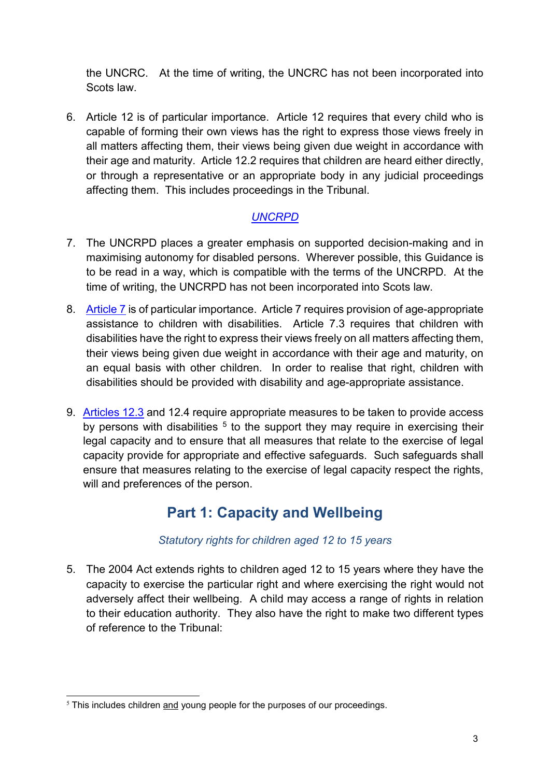the UNCRC. At the time of writing, the UNCRC has not been incorporated into Scots law.

6. Article 12 is of particular importance. Article 12 requires that every child who is capable of forming their own views has the right to express those views freely in all matters affecting them, their views being given due weight in accordance with their age and maturity. Article 12.2 requires that children are heard either directly, or through a representative or an appropriate body in any judicial proceedings affecting them. This includes proceedings in the Tribunal.

### *[UNCRPD](https://www.un.org/development/desa/disabilities/convention-on-the-rights-of-persons-with-disabilities/convention-on-the-rights-of-persons-with-disabilities-2.html)*

- 7. The UNCRPD places a greater emphasis on supported decision-making and in maximising autonomy for disabled persons. Wherever possible, this Guidance is to be read in a way, which is compatible with the terms of the UNCRPD. At the time of writing, the UNCRPD has not been incorporated into Scots law.
- 8. [Article 7](https://www.un.org/development/desa/disabilities/convention-on-the-rights-of-persons-with-disabilities/article-7-children-with-disabilities.html) is of particular importance. Article 7 requires provision of age-appropriate assistance to children with disabilities. Article 7.3 requires that children with disabilities have the right to express their views freely on all matters affecting them, their views being given due weight in accordance with their age and maturity, on an equal basis with other children. In order to realise that right, children with disabilities should be provided with disability and age-appropriate assistance.
- 9. [Articles](https://www.un.org/development/desa/disabilities/convention-on-the-rights-of-persons-with-disabilities/article-12-equal-recognition-before-the-law.html) 12.3 and 12.4 require appropriate measures to be taken to provide access by persons with disabilities  $5$  to the support they may require in exercising their legal capacity and to ensure that all measures that relate to the exercise of legal capacity provide for appropriate and effective safeguards. Such safeguards shall ensure that measures relating to the exercise of legal capacity respect the rights, will and preferences of the person.

## **Part 1: Capacity and Wellbeing**

### *Statutory rights for children aged 12 to 15 years*

5. The 2004 Act extends rights to children aged 12 to 15 years where they have the capacity to exercise the particular right and where exercising the right would not adversely affect their wellbeing. A child may access a range of rights in relation to their education authority. They also have the right to make two different types of reference to the Tribunal:

<span id="page-2-0"></span><sup>-</sup><sup>5</sup> This includes children and young people for the purposes of our proceedings.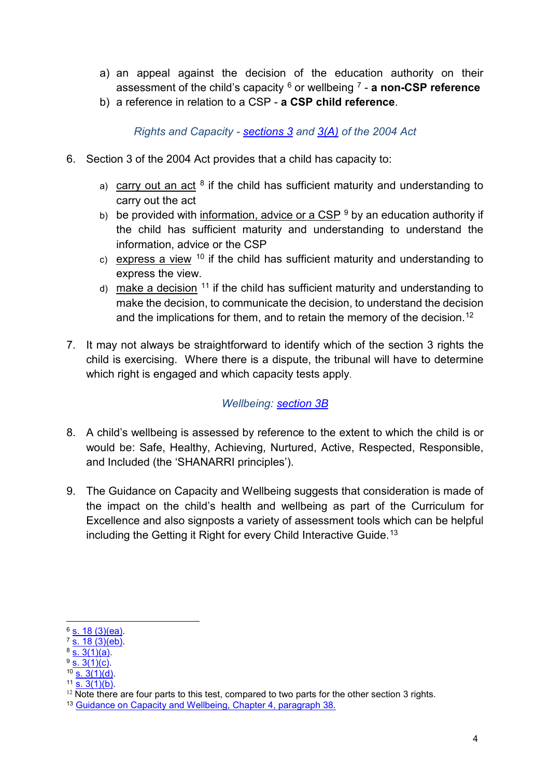- a) an appeal against the decision of the education authority on their assessment of the child's capacity [6](#page-3-0) or wellbeing [7](#page-3-1) - **a non-CSP reference**
- b) a reference in relation to a CSP **a CSP child reference**.

*Rights and Capacity - [sections 3](https://www.legislation.gov.uk/asp/2004/4/section/3) and [3\(A\)](https://www.legislation.gov.uk/asp/2004/4/section/3A) of the 2004 Act*

- 6. Section 3 of the 2004 Act provides that a child has capacity to:
	- a) carry out an act  $8$  if the child has sufficient maturity and understanding to carry out the act
	- b) be provided with information, advice or a CSP  $9$  by an education authority if the child has sufficient maturity and understanding to understand the information, advice or the CSP
	- c) express a view  $10$  if the child has sufficient maturity and understanding to express the view.
	- d) make a decision  $11$  if the child has sufficient maturity and understanding to make the decision, to communicate the decision, to understand the decision and the implications for them, and to retain the memory of the decision.<sup>[12](#page-3-6)</sup>
- 7. It may not always be straightforward to identify which of the section 3 rights the child is exercising. Where there is a dispute, the tribunal will have to determine which right is engaged and which capacity tests apply.

*Wellbeing: [section 3B](https://www.legislation.gov.uk/asp/2004/4/section/3B)*

- 8. A child's wellbeing is assessed by reference to the extent to which the child is or would be: Safe, Healthy, Achieving, Nurtured, Active, Respected, Responsible, and Included (the 'SHANARRI principles').
- 9. The Guidance on Capacity and Wellbeing suggests that consideration is made of the impact on the child's health and wellbeing as part of the Curriculum for Excellence and also signposts a variety of assessment tools which can be helpful including the Getting it Right for every Child Interactive Guide. [13](#page-3-7)

<span id="page-3-0"></span> $6$  [s. 18 \(3\)\(ea\).](https://www.legislation.gov.uk/asp/2004/4/section/18)

<span id="page-3-1"></span> $7\overline{)8.18(3)(eb)}$ .

<span id="page-3-2"></span> $8\overline{S.3(1)(a)}$ .  $9\overline{S}$ . 3(1)(c).

<span id="page-3-3"></span> $10$  [s. 3\(1\)\(d\).](https://www.legislation.gov.uk/asp/2004/4/section/3)

<span id="page-3-5"></span><span id="page-3-4"></span> $11$  [s. 3\(1\)\(b\).](https://www.legislation.gov.uk/asp/2004/4/section/3)

<span id="page-3-6"></span> $12$  Note there are four parts to this test, compared to two parts for the other section 3 rights.

<span id="page-3-7"></span><sup>&</sup>lt;sup>13</sup> [Guidance on Capacity and Wellbeing, Chapter 4, paragraph 38.](https://www.gov.scot/publications/education-additional-support-learning-scotland-act-2004-amended-extending-childrens/documents/)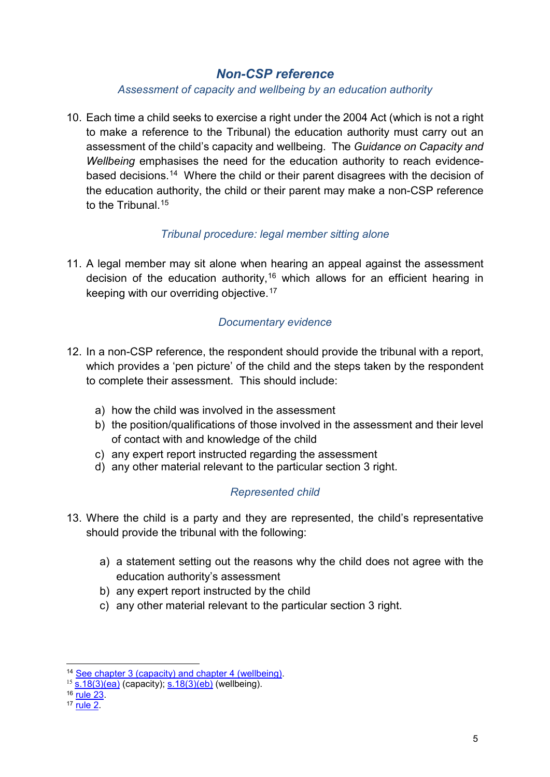### *Non-CSP reference*

#### *Assessment of capacity and wellbeing by an education authority*

10. Each time a child seeks to exercise a right under the 2004 Act (which is not a right to make a reference to the Tribunal) the education authority must carry out an assessment of the child's capacity and wellbeing. The *Guidance on Capacity and Wellbeing* emphasises the need for the education authority to reach evidencebased decisions. [14](#page-4-0) Where the child or their parent disagrees with the decision of the education authority, the child or their parent may make a non-CSP reference to the Tribunal.<sup>[15](#page-4-1)</sup>

### *Tribunal procedure: legal member sitting alone*

11. A legal member may sit alone when hearing an appeal against the assessment decision of the education authority, [16](#page-4-2) which allows for an efficient hearing in keeping with our overriding objective. [17](#page-4-3)

### *Documentary evidence*

- 12. In a non-CSP reference, the respondent should provide the tribunal with a report, which provides a 'pen picture' of the child and the steps taken by the respondent to complete their assessment. This should include:
	- a) how the child was involved in the assessment
	- b) the position/qualifications of those involved in the assessment and their level of contact with and knowledge of the child
	- c) any expert report instructed regarding the assessment
	- d) any other material relevant to the particular section 3 right.

### *Represented child*

- 13. Where the child is a party and they are represented, the child's representative should provide the tribunal with the following:
	- a) a statement setting out the reasons why the child does not agree with the education authority's assessment
	- b) any expert report instructed by the child
	- c) any other material relevant to the particular section 3 right.

<span id="page-4-0"></span><sup>&</sup>lt;sup>14</sup> [See chapter 3 \(capacity\) and chapter 4 \(wellbeing\).](https://www.gov.scot/publications/education-additional-support-learning-scotland-act-2004-amended-extending-childrens/documents/)

<span id="page-4-1"></span> $^{15}$  [s.18\(3\)\(ea\)](https://www.legislation.gov.uk/asp/2004/4/section/18) (capacity); [s.18\(3\)\(eb\)](https://www.legislation.gov.uk/asp/2004/4/section/18) (wellbeing).

<span id="page-4-2"></span><sup>16</sup> rule 23

<span id="page-4-3"></span><sup>17</sup> [rule 2.](https://www.legislation.gov.uk/ssi/2017/366/schedule/paragraph/2/made)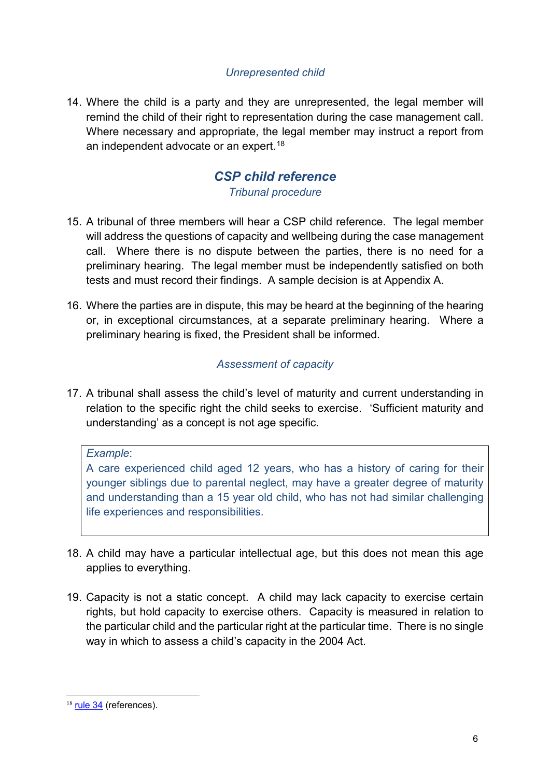### *Unrepresented child*

14. Where the child is a party and they are unrepresented, the legal member will remind the child of their right to representation during the case management call. Where necessary and appropriate, the legal member may instruct a report from an independent advocate or an expert. [18](#page-5-0)

# *CSP child reference*

*Tribunal procedure*

- 15. A tribunal of three members will hear a CSP child reference. The legal member will address the questions of capacity and wellbeing during the case management call. Where there is no dispute between the parties, there is no need for a preliminary hearing. The legal member must be independently satisfied on both tests and must record their findings. A sample decision is at Appendix A.
- 16. Where the parties are in dispute, this may be heard at the beginning of the hearing or, in exceptional circumstances, at a separate preliminary hearing. Where a preliminary hearing is fixed, the President shall be informed.

### *Assessment of capacity*

17. A tribunal shall assess the child's level of maturity and current understanding in relation to the specific right the child seeks to exercise. 'Sufficient maturity and understanding' as a concept is not age specific.

#### *Example*:

A care experienced child aged 12 years, who has a history of caring for their younger siblings due to parental neglect, may have a greater degree of maturity and understanding than a 15 year old child, who has not had similar challenging life experiences and responsibilities.

- 18. A child may have a particular intellectual age, but this does not mean this age applies to everything.
- 19. Capacity is not a static concept. A child may lack capacity to exercise certain rights, but hold capacity to exercise others. Capacity is measured in relation to the particular child and the particular right at the particular time. There is no single way in which to assess a child's capacity in the 2004 Act.

<span id="page-5-0"></span><sup>18</sup> [rule 34](https://www.legislation.gov.uk/ssi/2017/366/schedule/paragraph/34/made) (references).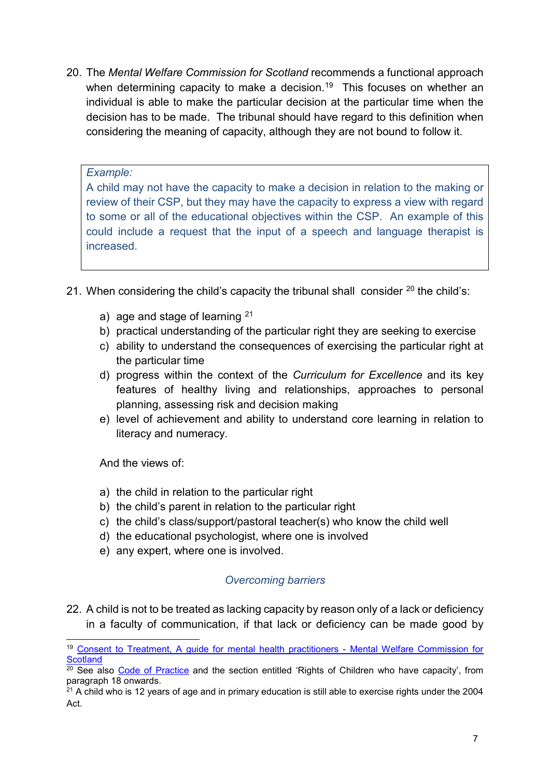20. The *Mental Welfare Commission for Scotland* recommends a functional approach when determining capacity to make a decision. [19](#page-6-0) This focuses on whether an individual is able to make the particular decision at the particular time when the decision has to be made. The tribunal should have regard to this definition when considering the meaning of capacity, although they are not bound to follow it.

#### *Example:*

A child may not have the capacity to make a decision in relation to the making or review of their CSP, but they may have the capacity to express a view with regard to some or all of the educational objectives within the CSP. An example of this could include a request that the input of a speech and language therapist is increased.

- 21. When considering the child's capacity the tribunal shall consider  $20$  the child's:
	- a) age and stage of learning  $21$
	- b) practical understanding of the particular right they are seeking to exercise
	- c) ability to understand the consequences of exercising the particular right at the particular time
	- d) progress within the context of the *Curriculum for Excellence* and its key features of healthy living and relationships, approaches to personal planning, assessing risk and decision making
	- e) level of achievement and ability to understand core learning in relation to literacy and numeracy.

And the views of:

- a) the child in relation to the particular right
- b) the child's parent in relation to the particular right
- c) the child's class/support/pastoral teacher(s) who know the child well
- d) the educational psychologist, where one is involved
- e) any expert, where one is involved.

### *Overcoming barriers*

22. A child is not to be treated as lacking capacity by reason only of a lack or deficiency in a faculty of communication, if that lack or deficiency can be made good by

<span id="page-6-0"></span><sup>&</sup>lt;sup>19</sup> [Consent to Treatment, A guide for mental health practitioners -](https://www.mwcscot.org.uk/sites/default/files/2019-06/consent_to_treatment_2018.pdf) Mental Welfare Commission for **[Scotland](https://www.mwcscot.org.uk/sites/default/files/2019-06/consent_to_treatment_2018.pdf)** 

<span id="page-6-1"></span> $20$  See also [Code of Practice](https://www.gov.scot/publications/supporting-childrens-learning-statutory-guidance-education-additional-support-learning-scotland/documents/) and the section entitled 'Rights of Children who have capacity', from paragraph 18 onwards.

<span id="page-6-2"></span> $21$  A child who is 12 years of age and in primary education is still able to exercise rights under the 2004 Act.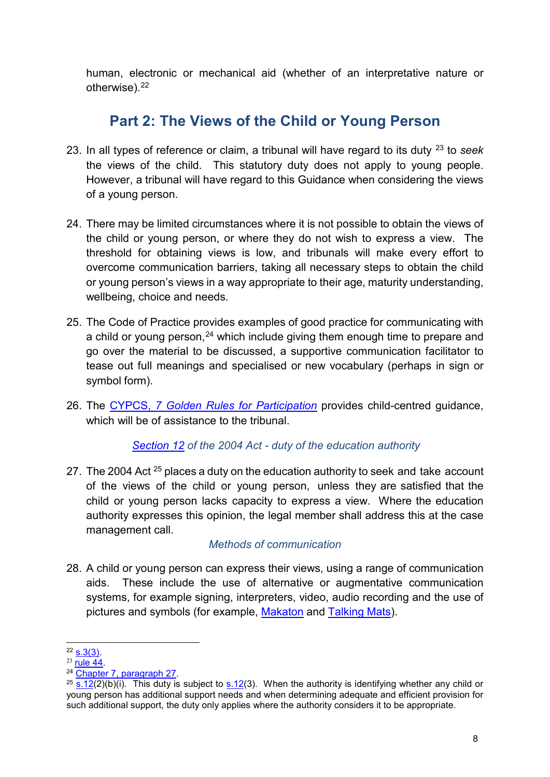human, electronic or mechanical aid (whether of an interpretative nature or otherwise). [22](#page-7-0)

## **Part 2: The Views of the Child or Young Person**

- 23. In all types of reference or claim, a tribunal will have regard to its duty [23](#page-7-1) to *seek* the views of the child. This statutory duty does not apply to young people. However, a tribunal will have regard to this Guidance when considering the views of a young person.
- 24. There may be limited circumstances where it is not possible to obtain the views of the child or young person, or where they do not wish to express a view. The threshold for obtaining views is low, and tribunals will make every effort to overcome communication barriers, taking all necessary steps to obtain the child or young person's views in a way appropriate to their age, maturity understanding, wellbeing, choice and needs*.*
- 25. The Code of Practice provides examples of good practice for communicating with a child or young person,<sup>[24](#page-7-2)</sup> which include giving them enough time to prepare and go over the material to be discussed, a supportive communication facilitator to tease out full meanings and specialised or new vocabulary (perhaps in sign or symbol form).
- 26. The CYPCS, *[7 Golden Rules for](https://cypcs.org.uk/get-help/teachers/golden-rules/) Participation* provides child-centred guidance, which will be of assistance to the tribunal

*[Section](https://www.legislation.gov.uk/asp/2004/4/section/12) 12 of the 2004 Act - duty of the education authority*

27. The 2004 Act <sup>[25](#page-7-3)</sup> places a duty on the education authority to seek and take account of the views of the child or young person, unless they are satisfied that the child or young person lacks capacity to express a view. Where the education authority expresses this opinion, the legal member shall address this at the case management call.

### *Methods of communication*

28. A child or young person can express their views, using a range of communication aids. These include the use of alternative or augmentative communication systems, for example signing, interpreters, video, audio recording and the use of pictures and symbols (for example, [Makaton](https://makaton.org/) and [Talking](https://www.talkingmats.com/) Mats).

<span id="page-7-0"></span> $22$  [s.3\(3\).](https://www.legislation.gov.uk/asp/2004/4/section/3)

<span id="page-7-1"></span> $23$  rule  $44$ .

<span id="page-7-2"></span><sup>24</sup> [Chapter 7, paragraph 27.](https://www.gov.scot/binaries/content/documents/govscot/publications/advice-and-guidance/2017/12/supporting-childrens-learning-statutory-guidance-education-additional-support-learning-scotland/documents/00529411-pdf/00529411-pdf/govscot%3Adocument/00529411.pdf?forceDownload=true)

<span id="page-7-3"></span> $25 \times 12(2)(b)(i)$ . This duty is subject to [s.12\(](https://www.legislation.gov.uk/asp/2004/4/section/12)3). When the authority is identifying whether any child or young person has additional support needs and when determining adequate and efficient provision for such additional support, the duty only applies where the authority considers it to be appropriate.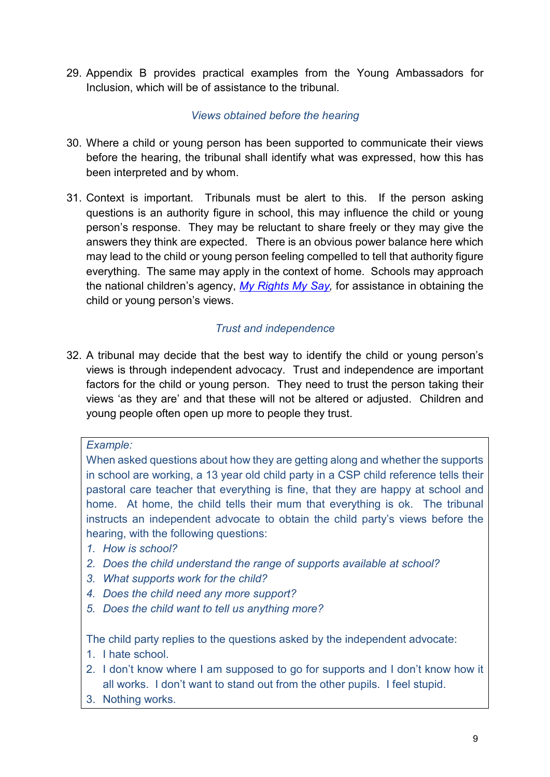29. Appendix B provides practical examples from the Young Ambassadors for Inclusion, which will be of assistance to the tribunal.

### *Views obtained before the hearing*

- 30. Where a child or young person has been supported to communicate their views before the hearing, the tribunal shall identify what was expressed, how this has been interpreted and by whom.
- 31. Context is important. Tribunals must be alert to this. If the person asking questions is an authority figure in school, this may influence the child or young person's response. They may be reluctant to share freely or they may give the answers they think are expected. There is an obvious power balance here which may lead to the child or young person feeling compelled to tell that authority figure everything. The same may apply in the context of home. Schools may approach the national children's agency, *[My Rights My Say,](https://myrightsmysay.scot/)* for assistance in obtaining the child or young person's views.

### *Trust and independence*

32. A tribunal may decide that the best way to identify the child or young person's views is through independent advocacy. Trust and independence are important factors for the child or young person. They need to trust the person taking their views 'as they are' and that these will not be altered or adjusted. Children and young people often open up more to people they trust.

### *Example:*

When asked questions about how they are getting along and whether the supports in school are working, a 13 year old child party in a CSP child reference tells their pastoral care teacher that everything is fine, that they are happy at school and home. At home, the child tells their mum that everything is ok. The tribunal instructs an independent advocate to obtain the child party's views before the hearing, with the following questions:

- *1. How is school?*
- *2. Does the child understand the range of supports available at school?*
- *3. What supports work for the child?*
- *4. Does the child need any more support?*
- *5. Does the child want to tell us anything more?*

The child party replies to the questions asked by the independent advocate:

- 1. I hate school.
- 2. I don't know where I am supposed to go for supports and I don't know how it all works. I don't want to stand out from the other pupils. I feel stupid.
- 3. Nothing works.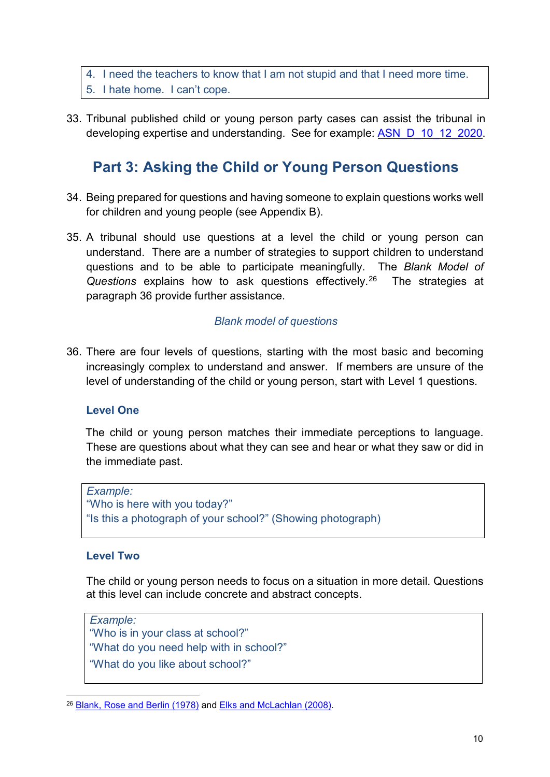### 4. I need the teachers to know that I am not stupid and that I need more time. 5. I hate home. I can't cope.

33. Tribunal published child or young person party cases can assist the tribunal in developing expertise and understanding. See for example: [ASN\\_D\\_10\\_12\\_2020.](https://www.healthandeducationchamber.scot/sites/default/files/decisions/add/ASN_D_10_12_2020_0.pdf)

## **Part 3: Asking the Child or Young Person Questions**

- 34. Being prepared for questions and having someone to explain questions works well for children and young people (see Appendix B).
- 35. A tribunal should use questions at a level the child or young person can understand. There are a number of strategies to support children to understand questions and to be able to participate meaningfully. The *Blank Model of Questions* explains how to ask questions effectively. [26](#page-9-0)The strategies at paragraph 36 provide further assistance.

### *Blank model of questions*

36. There are four levels of questions, starting with the most basic and becoming increasingly complex to understand and answer. If members are unsure of the level of understanding of the child or young person, start with Level 1 questions.

#### **Level One**

The child or young person matches their immediate perceptions to language. These are questions about what they can see and hear or what they saw or did in the immediate past.

```
Example:
"Who is here with you today?"
"Is this a photograph of your school?" (Showing photograph)
```
#### **Level Two**

The child or young person needs to focus on a situation in more detail. Questions at this level can include concrete and abstract concepts.

*Example:* "Who is in your class at school?" "What do you need help with in school?" "What do you like about school?"

<span id="page-9-0"></span><sup>&</sup>lt;sup>26</sup> [Blank, Rose and Berlin \(1978\)](https://salda.org.au/wp-content/uploads/2019/03/SALDA-Blanks-level-of-questioning.pdf) and Elks and McLachlan (2008).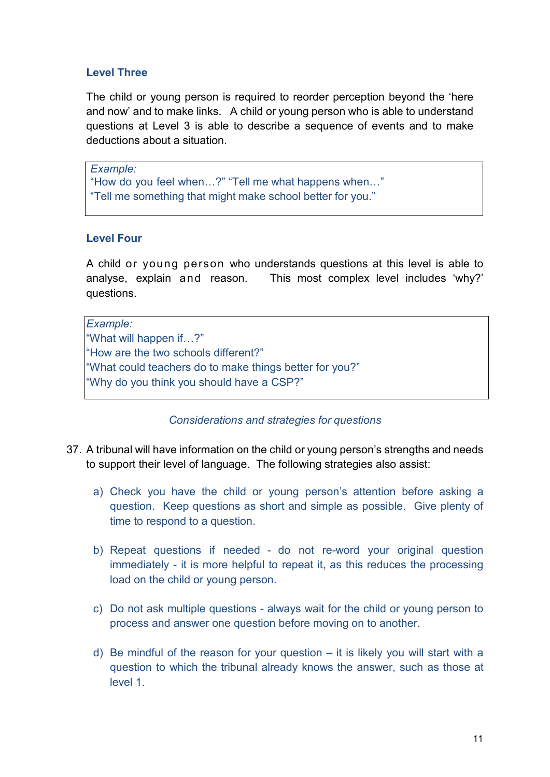### **Level Three**

The child or young person is required to reorder perception beyond the 'here and now' and to make links. A child or young person who is able to understand questions at Level 3 is able to describe a sequence of events and to make deductions about a situation.

*Example:* "How do you feel when…?" "Tell me what happens when…" "Tell me something that might make school better for you."

### **Level Four**

A child or young person who understands questions at this level is able to analyse, explain and reason. This most complex level includes 'why?' questions.

*Example:* "What will happen if…?" "How are the two schools different?" "What could teachers do to make things better for you?" "Why do you think you should have a CSP?"

*Considerations and strategies for questions*

- 37. A tribunal will have information on the child or young person's strengths and needs to support their level of language. The following strategies also assist:
	- a) Check you have the child or young person's attention before asking a question. Keep questions as short and simple as possible. Give plenty of time to respond to a question.
	- b) Repeat questions if needed do not re-word your original question immediately - it is more helpful to repeat it, as this reduces the processing load on the child or young person.
	- c) Do not ask multiple questions always wait for the child or young person to process and answer one question before moving on to another.
	- d) Be mindful of the reason for your question it is likely you will start with a question to which the tribunal already knows the answer, such as those at level 1.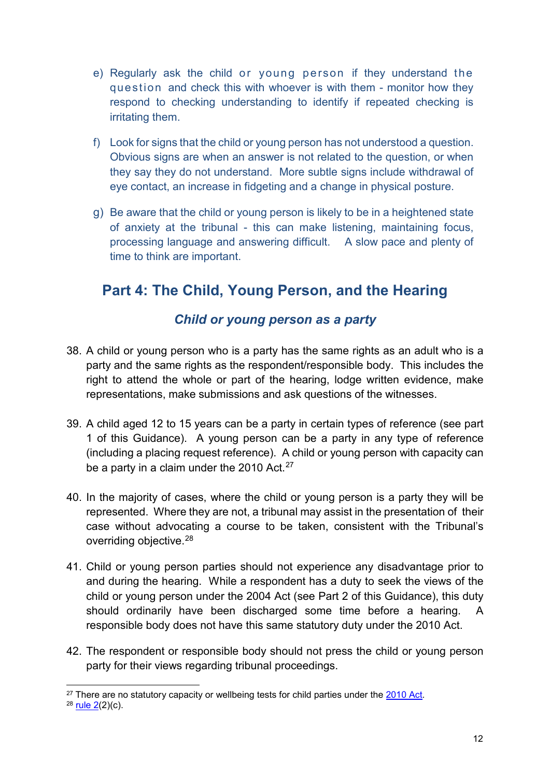- e) Regularly ask the child or young person if they understand the question and check this with whoever is with them - monitor how they respond to checking understanding to identify if repeated checking is irritating them.
- f) Look for signs that the child or young person has not understood a question. Obvious signs are when an answer is not related to the question, or when they say they do not understand. More subtle signs include withdrawal of eye contact, an increase in fidgeting and a change in physical posture.
- g) Be aware that the child or young person is likely to be in a heightened state of anxiety at the tribunal - this can make listening, maintaining focus, processing language and answering difficult. A slow pace and plenty of time to think are important.

## **Part 4: The Child, Young Person, and the Hearing**

## *Child or young person as a party*

- 38. A child or young person who is a party has the same rights as an adult who is a party and the same rights as the respondent/responsible body. This includes the right to attend the whole or part of the hearing, lodge written evidence, make representations, make submissions and ask questions of the witnesses.
- 39. A child aged 12 to 15 years can be a party in certain types of reference (see part 1 of this Guidance). A young person can be a party in any type of reference (including a placing request reference). A child or young person with capacity can be a party in a claim under the 2010 Act.<sup>[27](#page-11-0)</sup>
- 40. In the majority of cases, where the child or young person is a party they will be represented. Where they are not, a tribunal may assist in the presentation of their case without advocating a course to be taken, consistent with the Tribunal's overriding objective. [28](#page-11-1)
- 41. Child or young person parties should not experience any disadvantage prior to and during the hearing. While a respondent has a duty to seek the views of the child or young person under the 2004 Act (see Part 2 of this Guidance), this duty should ordinarily have been discharged some time before a hearing. A responsible body does not have this same statutory duty under the 2010 Act.
- 42. The respondent or responsible body should not press the child or young person party for their views regarding tribunal proceedings.

<span id="page-11-0"></span> $27$  There are no statutory capacity or wellbeing tests for child parties under the [2010 Act.](https://www.legislation.gov.uk/ukpga/2010/15/contents)

<span id="page-11-1"></span> $28$  rule  $2(2)(c)$ .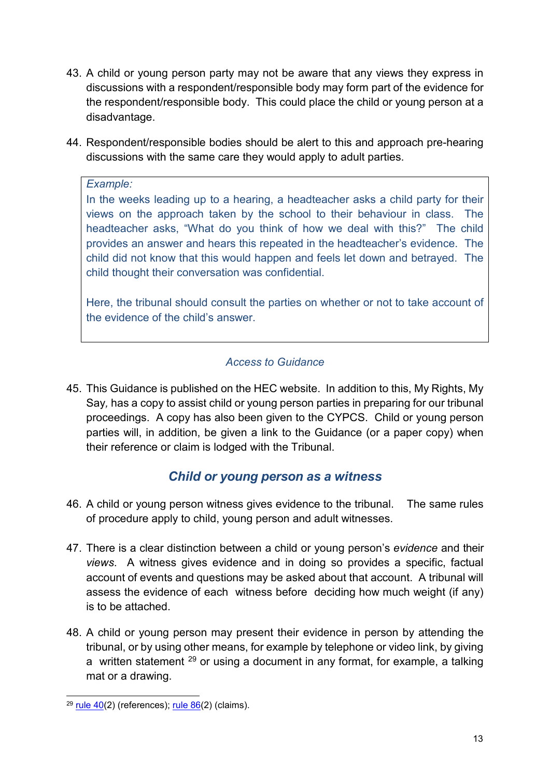- 43. A child or young person party may not be aware that any views they express in discussions with a respondent/responsible body may form part of the evidence for the respondent/responsible body. This could place the child or young person at a disadvantage.
- 44. Respondent/responsible bodies should be alert to this and approach pre-hearing discussions with the same care they would apply to adult parties.

### *Example:*

In the weeks leading up to a hearing, a headteacher asks a child party for their views on the approach taken by the school to their behaviour in class. The headteacher asks, "What do you think of how we deal with this?" The child provides an answer and hears this repeated in the headteacher's evidence. The child did not know that this would happen and feels let down and betrayed. The child thought their conversation was confidential.

Here, the tribunal should consult the parties on whether or not to take account of the evidence of the child's answer.

### *Access to Guidance*

45. This Guidance is published on the HEC website. In addition to this, My Rights, My Say*,* has a copy to assist child or young person parties in preparing for our tribunal proceedings. A copy has also been given to the CYPCS. Child or young person parties will, in addition, be given a link to the Guidance (or a paper copy) when their reference or claim is lodged with the Tribunal.

### *Child or young person as a witness*

- 46. A child or young person witness gives evidence to the tribunal. The same rules of procedure apply to child, young person and adult witnesses.
- 47. There is a clear distinction between a child or young person's *evidence* and their *views*. A witness gives evidence and in doing so provides a specific, factual account of events and questions may be asked about that account. A tribunal will assess the evidence of each witness before deciding how much weight (if any) is to be attached.
- 48. A child or young person may present their evidence in person by attending the tribunal, or by using other means, for example by telephone or video link, by giving a written statement  $^{29}$  $^{29}$  $^{29}$  or using a document in any format, for example, a talking mat or a drawing.

<span id="page-12-0"></span> $29$  [rule 40\(](https://www.legislation.gov.uk/ssi/2017/366/schedule/paragraph/40/made)2) (references); rule  $86(2)$  (claims).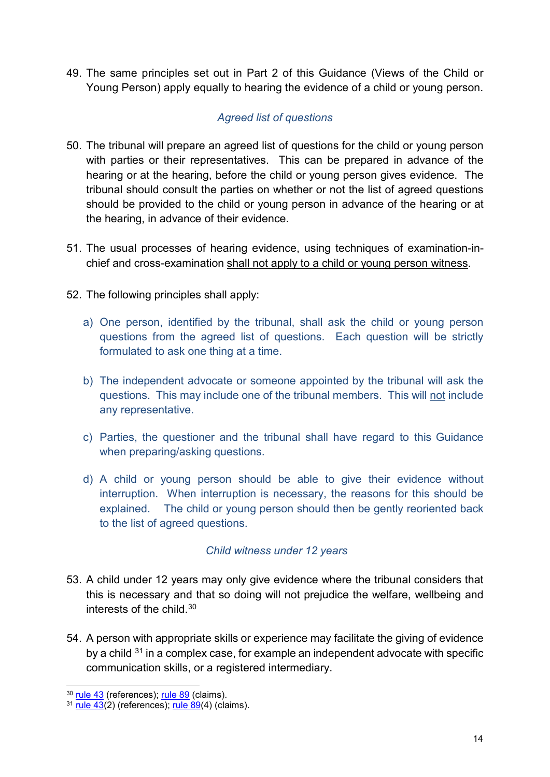49. The same principles set out in Part 2 of this Guidance (Views of the Child or Young Person) apply equally to hearing the evidence of a child or young person.

### *Agreed list of questions*

- 50. The tribunal will prepare an agreed list of questions for the child or young person with parties or their representatives. This can be prepared in advance of the hearing or at the hearing, before the child or young person gives evidence. The tribunal should consult the parties on whether or not the list of agreed questions should be provided to the child or young person in advance of the hearing or at the hearing, in advance of their evidence.
- 51. The usual processes of hearing evidence, using techniques of examination-inchief and cross-examination shall not apply to a child or young person witness.
- 52. The following principles shall apply:
	- a) One person, identified by the tribunal, shall ask the child or young person questions from the agreed list of questions. Each question will be strictly formulated to ask one thing at a time.
	- b) The independent advocate or someone appointed by the tribunal will ask the questions. This may include one of the tribunal members. This will not include any representative.
	- c) Parties, the questioner and the tribunal shall have regard to this Guidance when preparing/asking questions.
	- d) A child or young person should be able to give their evidence without interruption. When interruption is necessary, the reasons for this should be explained. The child or young person should then be gently reoriented back to the list of agreed questions.

### *Child witness under 12 years*

- 53. A child under 12 years may only give evidence where the tribunal considers that this is necessary and that so doing will not prejudice the welfare, wellbeing and interests of the child. [30](#page-13-0)
- 54. A person with appropriate skills or experience may facilitate the giving of evidence by a child  $31$  in a complex case, for example an independent advocate with specific communication skills, or a registered intermediary.

<span id="page-13-0"></span><sup>&</sup>lt;sup>30</sup> [rule 43](https://www.legislation.gov.uk/ssi/2017/366/schedule/paragraph/43/made) (references); [rule 89](https://www.legislation.gov.uk/ssi/2017/366/schedule/paragraph/89/made) (claims).

<span id="page-13-1"></span> $31$  [rule 43\(](https://www.legislation.gov.uk/ssi/2017/366/schedule/paragraph/43/made)2) (references); rule  $89(4)$  (claims).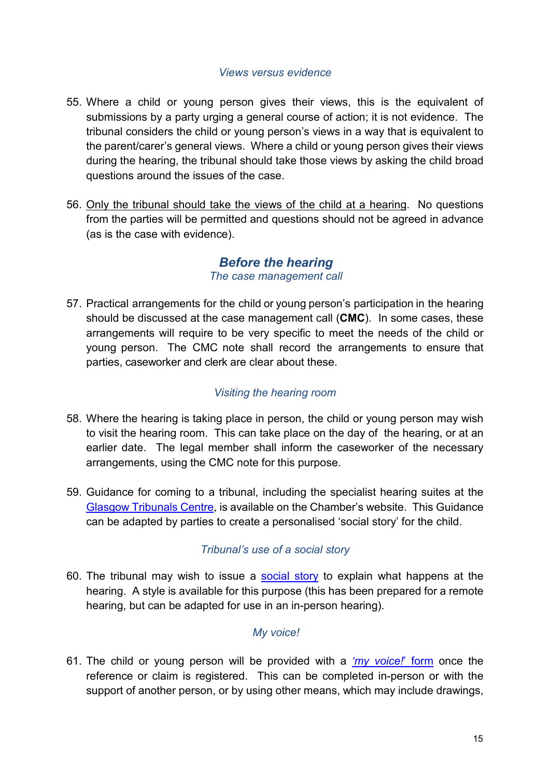#### *Views versus evidence*

- 55. Where a child or young person gives their views, this is the equivalent of submissions by a party urging a general course of action; it is not evidence. The tribunal considers the child or young person's views in a way that is equivalent to the parent/carer's general views. Where a child or young person gives their views during the hearing, the tribunal should take those views by asking the child broad questions around the issues of the case.
- 56. Only the tribunal should take the views of the child at a hearing. No questions from the parties will be permitted and questions should not be agreed in advance (as is the case with evidence).

### *Before the hearing The case management call*

57. Practical arrangements for the child or young person's participation in the hearing should be discussed at the case management call (**CMC**). In some cases, these arrangements will require to be very specific to meet the needs of the child or young person. The CMC note shall record the arrangements to ensure that parties, caseworker and clerk are clear about these.

### *Visiting the hearing room*

- 58. Where the hearing is taking place in person, the child or young person may wish to visit the hearing room. This can take place on the day of the hearing, or at an earlier date. The legal member shall inform the caseworker of the necessary arrangements, using the CMC note for this purpose.
- 59. Guidance for coming to a tribunal, including the specialist hearing suites at the [Glasgow Tribunals Centre,](https://www.healthandeducationchamber.scot/sites/default/files/publications/add/Going%20to%20the%20Glasgow%20Tribunals%20Centre%20%28side%20entrance%29.pdf) is available on the Chamber's website. This Guidance can be adapted by parties to create a personalised 'social story' for the child.

### *Tribunal's use of a social story*

60. The tribunal may wish to issue a [social story](https://www.healthandeducationchamber.scot/additional-support-needs/publications/social-story) to explain what happens at the hearing. A style is available for this purpose (this has been prepared for a remote hearing, but can be adapted for use in an in-person hearing).

### *My voice!*

61. The child or young person will be provided with a *['my voice!](https://www.healthandeducationchamber.scot/sites/default/files/publications/add/my%20voice%20form.pdf)*' form once the reference or claim is registered. This can be completed in-person or with the support of another person, or by using other means, which may include drawings,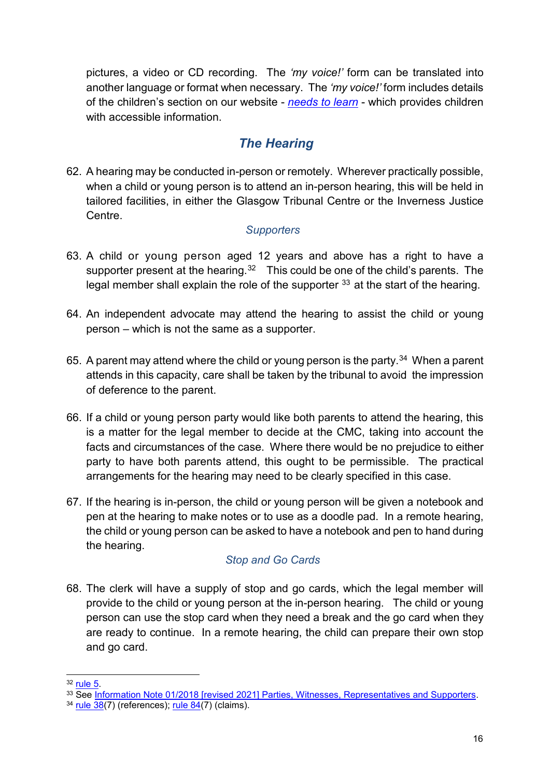pictures, a video or CD recording. The *'my voice!'* form can be translated into another language or format when necessary. The *'my voice!'* form includes details of the children's section on our website - *[needs to learn](https://www.healthandeducationchamber.scot/needstolearn/home)* - which provides children with accessible information.

## *The Hearing*

62. A hearing may be conducted in-person or remotely. Wherever practically possible, when a child or young person is to attend an in-person hearing, this will be held in tailored facilities, in either the Glasgow Tribunal Centre or the Inverness Justice Centre.

### *Supporters*

- 63. A child or young person aged 12 years and above has a right to have a supporter present at the hearing.<sup>[32](#page-15-0)</sup> This could be one of the child's parents. The legal member shall explain the role of the supporter  $33$  at the start of the hearing.
- 64. An independent advocate may attend the hearing to assist the child or young person *–* which is not the same as a supporter.
- 65. A parent may attend where the child or young person is the party. [34](#page-15-2) When a parent attends in this capacity, care shall be taken by the tribunal to avoid the impression of deference to the parent.
- 66. If a child or young person party would like both parents to attend the hearing, this is a matter for the legal member to decide at the CMC, taking into account the facts and circumstances of the case. Where there would be no prejudice to either party to have both parents attend, this ought to be permissible. The practical arrangements for the hearing may need to be clearly specified in this case.
- 67. If the hearing is in-person, the child or young person will be given a notebook and pen at the hearing to make notes or to use as a doodle pad. In a remote hearing, the child or young person can be asked to have a notebook and pen to hand during the hearing.

### *Stop and Go Cards*

68. The clerk will have a supply of stop and go cards, which the legal member will provide to the child or young person at the in-person hearing. The child or young person can use the stop card when they need a break and the go card when they are ready to continue. In a remote hearing, the child can prepare their own stop and go card.

<span id="page-15-0"></span> $32$  [rule 5.](https://www.legislation.gov.uk/ssi/2017/366/schedule/paragraph/5/made)

<span id="page-15-1"></span><sup>33</sup> See [Information Note 01/2018 \[revised 2021\] Parties, Witnesses, Representatives and Supporters.](https://www.healthandeducationchamber.scot/sites/default/files/publications/43/01%202021%20Parties%20Representatives%20Witnesses%20and%20Supporters.pdf)

<span id="page-15-2"></span> $34$  [rule 38\(](https://www.legislation.gov.uk/ssi/2017/366/schedule/paragraph/38/made)7) (references); rule  $84(7)$  (claims).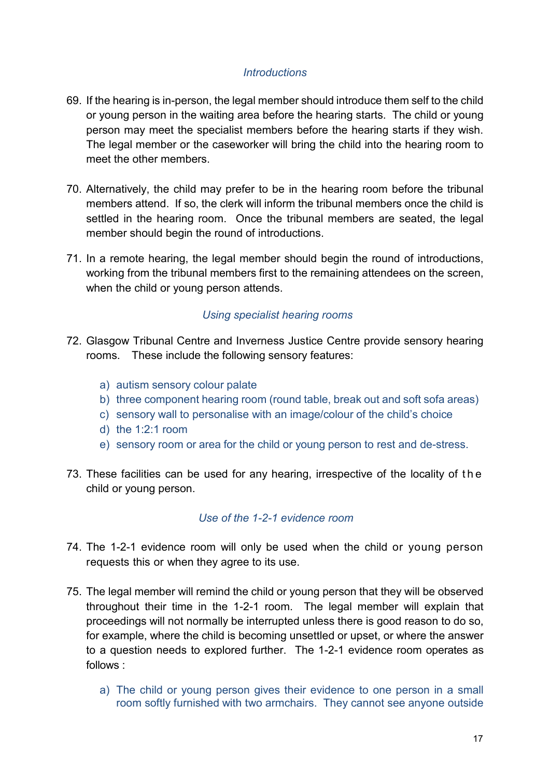### *Introductions*

- 69. If the hearing is in-person, the legal member should introduce them self to the child or young person in the waiting area before the hearing starts. The child or young person may meet the specialist members before the hearing starts if they wish. The legal member or the caseworker will bring the child into the hearing room to meet the other members.
- 70. Alternatively, the child may prefer to be in the hearing room before the tribunal members attend. If so, the clerk will inform the tribunal members once the child is settled in the hearing room. Once the tribunal members are seated, the legal member should begin the round of introductions.
- 71. In a remote hearing, the legal member should begin the round of introductions, working from the tribunal members first to the remaining attendees on the screen, when the child or young person attends.

### *Using specialist hearing rooms*

- 72. Glasgow Tribunal Centre and Inverness Justice Centre provide sensory hearing rooms. These include the following sensory features:
	- a) autism sensory colour palate
	- b) three component hearing room (round table, break out and soft sofa areas)
	- c) sensory wall to personalise with an image/colour of the child's choice
	- d) the 1:2:1 room
	- e) sensory room or area for the child or young person to rest and de-stress.
- 73. These facilities can be used for any hearing, irrespective of the locality of the child or young person.

#### *Use of the 1-2-1 evidence room*

- 74. The 1-2-1 evidence room will only be used when the child or young person requests this or when they agree to its use.
- 75. The legal member will remind the child or young person that they will be observed throughout their time in the 1-2-1 room. The legal member will explain that proceedings will not normally be interrupted unless there is good reason to do so, for example, where the child is becoming unsettled or upset, or where the answer to a question needs to explored further. The 1-2-1 evidence room operates as follows :
	- a) The child or young person gives their evidence to one person in a small room softly furnished with two armchairs. They cannot see anyone outside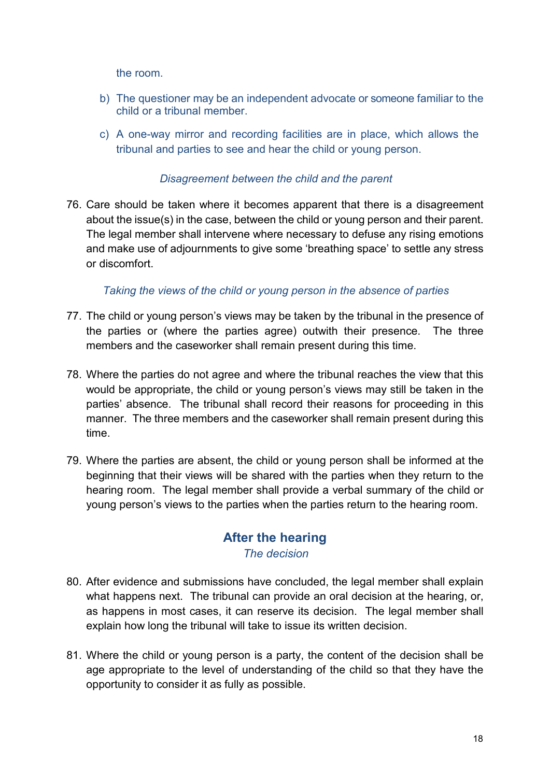the room.

- b) The questioner may be an independent advocate or someone familiar to the child or a tribunal member.
- c) A one-way mirror and recording facilities are in place, which allows the tribunal and parties to see and hear the child or young person.

### *Disagreement between the child and the parent*

76. Care should be taken where it becomes apparent that there is a disagreement about the issue(s) in the case, between the child or young person and their parent. The legal member shall intervene where necessary to defuse any rising emotions and make use of adjournments to give some 'breathing space' to settle any stress or discomfort.

### *Taking the views of the child or young person in the absence of parties*

- 77. The child or young person's views may be taken by the tribunal in the presence of the parties or (where the parties agree) outwith their presence. The three members and the caseworker shall remain present during this time.
- 78. Where the parties do not agree and where the tribunal reaches the view that this would be appropriate, the child or young person's views may still be taken in the parties' absence. The tribunal shall record their reasons for proceeding in this manner. The three members and the caseworker shall remain present during this time.
- 79. Where the parties are absent, the child or young person shall be informed at the beginning that their views will be shared with the parties when they return to the hearing room. The legal member shall provide a verbal summary of the child or young person's views to the parties when the parties return to the hearing room.

### **After the hearing** *The decision*

- 80. After evidence and submissions have concluded, the legal member shall explain what happens next. The tribunal can provide an oral decision at the hearing, or, as happens in most cases, it can reserve its decision. The legal member shall explain how long the tribunal will take to issue its written decision.
- 81. Where the child or young person is a party, the content of the decision shall be age appropriate to the level of understanding of the child so that they have the opportunity to consider it as fully as possible.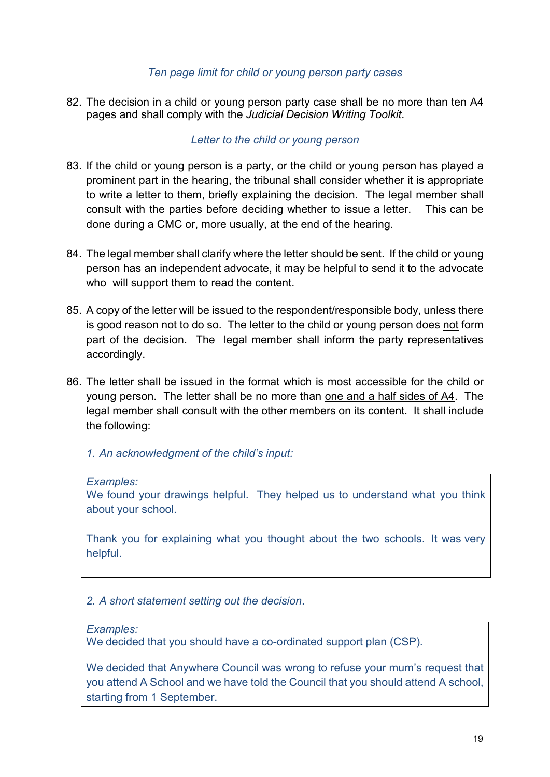#### *Ten page limit for child or young person party cases*

82. The decision in a child or young person party case shall be no more than ten A4 pages and shall comply with the *Judicial Decision Writing Toolkit*.

### *Letter to the child or young person*

- 83. If the child or young person is a party, or the child or young person has played a prominent part in the hearing, the tribunal shall consider whether it is appropriate to write a letter to them, briefly explaining the decision. The legal member shall consult with the parties before deciding whether to issue a letter. This can be done during a CMC or, more usually, at the end of the hearing.
- 84. The legal member shall clarify where the letter should be sent. If the child or young person has an independent advocate, it may be helpful to send it to the advocate who will support them to read the content.
- 85. A copy of the letter will be issued to the respondent/responsible body, unless there is good reason not to do so. The letter to the child or young person does not form part of the decision. The legal member shall inform the party representatives accordingly.
- 86. The letter shall be issued in the format which is most accessible for the child or young person. The letter shall be no more than one and a half sides of A4. The legal member shall consult with the other members on its content. It shall include the following:
	- *1. An acknowledgment of the child's input:*

#### *Examples:*

We found your drawings helpful. They helped us to understand what you think about your school.

Thank you for explaining what you thought about the two schools. It was very helpful.

#### *2. A short statement setting out the decision*.

#### *Examples:*

We decided that you should have a co-ordinated support plan (CSP).

We decided that Anywhere Council was wrong to refuse your mum's request that you attend A School and we have told the Council that you should attend A school, starting from 1 September.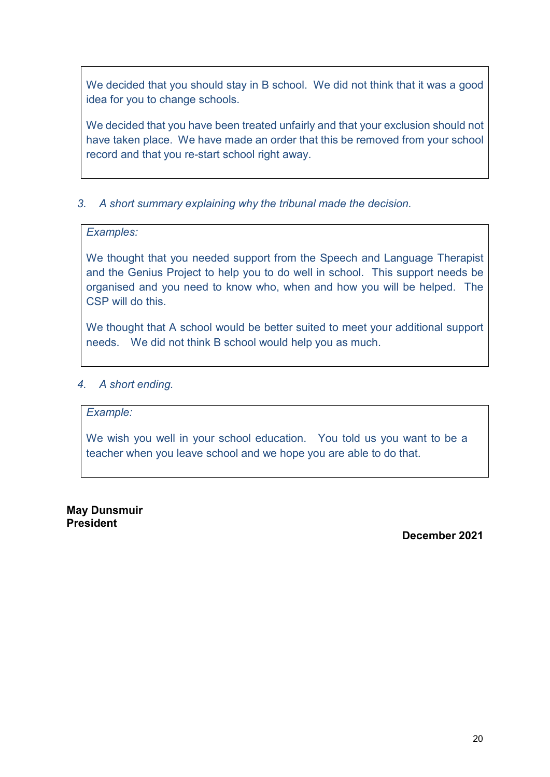We decided that you should stay in B school. We did not think that it was a good idea for you to change schools.

We decided that you have been treated unfairly and that your exclusion should not have taken place. We have made an order that this be removed from your school record and that you re-start school right away.

### *3. A short summary explaining why the tribunal made the decision.*

### *Examples:*

We thought that you needed support from the Speech and Language Therapist and the Genius Project to help you to do well in school. This support needs be organised and you need to know who, when and how you will be helped. The CSP will do this.

We thought that A school would be better suited to meet your additional support needs. We did not think B school would help you as much.

### *4. A short ending.*

#### *Example:*

We wish you well in your school education. You told us you want to be a teacher when you leave school and we hope you are able to do that.

**May Dunsmuir President**

**December 2021**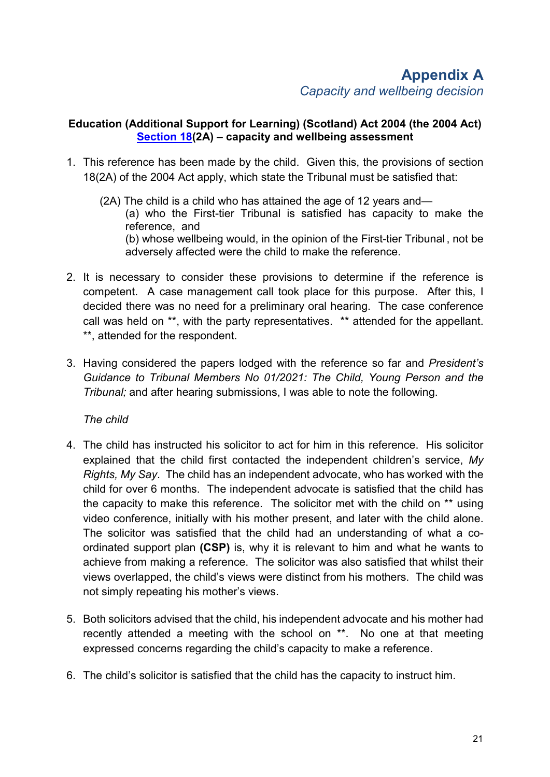### **Education (Additional Support for Learning) (Scotland) Act 2004 (the 2004 Act) [Section 18\(](https://www.legislation.gov.uk/asp/2004/4/section/18)2A) – capacity and wellbeing assessment**

- 1. This reference has been made by the child. Given this, the provisions of section 18(2A) of the 2004 Act apply, which state the Tribunal must be satisfied that:
	- (2A) The child is a child who has attained the age of 12 years and— (a) who the First-tier Tribunal is satisfied has capacity to make the reference, and (b) whose wellbeing would, in the opinion of the First-tier Tribunal , not be adversely affected were the child to make the reference.
- 2. It is necessary to consider these provisions to determine if the reference is competent. A case management call took place for this purpose. After this, I decided there was no need for a preliminary oral hearing. The case conference call was held on \*\*, with the party representatives. \*\* attended for the appellant. \*\*, attended for the respondent.
- 3. Having considered the papers lodged with the reference so far and *President's Guidance to Tribunal Members No 01/2021: The Child, Young Person and the Tribunal;* and after hearing submissions, I was able to note the following.

*The child*

- 4. The child has instructed his solicitor to act for him in this reference. His solicitor explained that the child first contacted the independent children's service, *My Rights, My Say*. The child has an independent advocate, who has worked with the child for over 6 months. The independent advocate is satisfied that the child has the capacity to make this reference. The solicitor met with the child on \*\* using video conference, initially with his mother present, and later with the child alone. The solicitor was satisfied that the child had an understanding of what a coordinated support plan **(CSP)** is, why it is relevant to him and what he wants to achieve from making a reference. The solicitor was also satisfied that whilst their views overlapped, the child's views were distinct from his mothers. The child was not simply repeating his mother's views.
- 5. Both solicitors advised that the child, his independent advocate and his mother had recently attended a meeting with the school on \*\*. No one at that meeting expressed concerns regarding the child's capacity to make a reference.
- 6. The child's solicitor is satisfied that the child has the capacity to instruct him.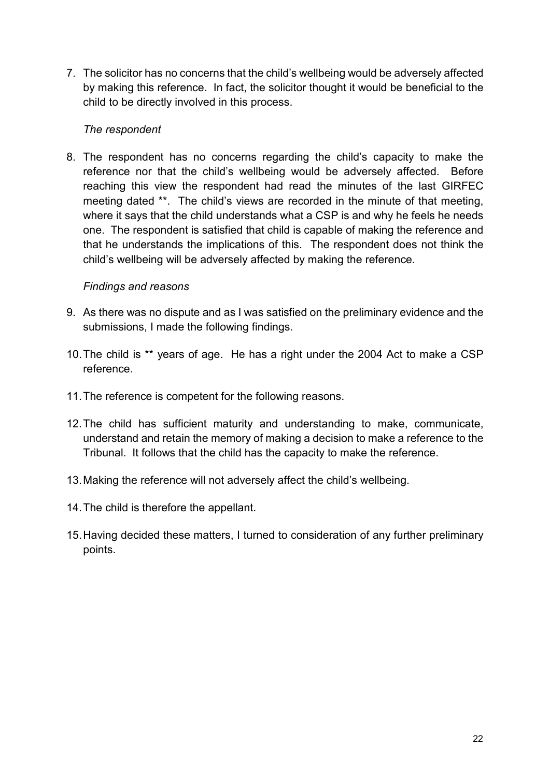7. The solicitor has no concerns that the child's wellbeing would be adversely affected by making this reference. In fact, the solicitor thought it would be beneficial to the child to be directly involved in this process.

### *The respondent*

8. The respondent has no concerns regarding the child's capacity to make the reference nor that the child's wellbeing would be adversely affected. Before reaching this view the respondent had read the minutes of the last GIRFEC meeting dated \*\*. The child's views are recorded in the minute of that meeting, where it says that the child understands what a CSP is and why he feels he needs one. The respondent is satisfied that child is capable of making the reference and that he understands the implications of this. The respondent does not think the child's wellbeing will be adversely affected by making the reference.

### *Findings and reasons*

- 9. As there was no dispute and as I was satisfied on the preliminary evidence and the submissions, I made the following findings.
- 10.The child is \*\* years of age. He has a right under the 2004 Act to make a CSP reference.
- 11.The reference is competent for the following reasons.
- 12.The child has sufficient maturity and understanding to make, communicate, understand and retain the memory of making a decision to make a reference to the Tribunal. It follows that the child has the capacity to make the reference.
- 13.Making the reference will not adversely affect the child's wellbeing.
- 14.The child is therefore the appellant.
- 15.Having decided these matters, I turned to consideration of any further preliminary points.